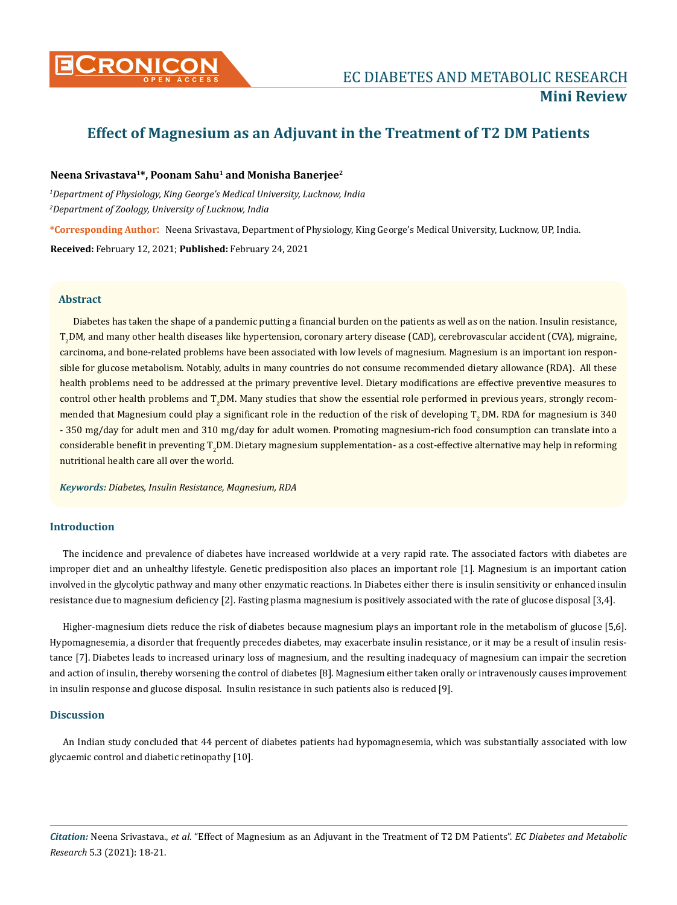

# **Effect of Magnesium as an Adjuvant in the Treatment of T2 DM Patients**

### **Neena Srivastava1\*, Poonam Sahu1 and Monisha Banerjee2**

*1 Department of Physiology, King George's Medical University, Lucknow, India 2 Department of Zoology, University of Lucknow, India*

**\*Corresponding Author**: Neena Srivastava, Department of Physiology, King George's Medical University, Lucknow, UP, India.

**Received:** February 12, 2021; **Published:** February 24, 2021

#### **Abstract**

Diabetes has taken the shape of a pandemic putting a financial burden on the patients as well as on the nation. Insulin resistance, T<sub>2</sub>DM, and many other health diseases like hypertension, coronary artery disease (CAD), cerebrovascular accident (CVA), migraine, carcinoma, and bone-related problems have been associated with low levels of magnesium. Magnesium is an important ion responsible for glucose metabolism. Notably, adults in many countries do not consume recommended dietary allowance (RDA). All these health problems need to be addressed at the primary preventive level. Dietary modifications are effective preventive measures to control other health problems and T<sub>2</sub>DM. Many studies that show the essential role performed in previous years, strongly recommended that Magnesium could play a significant role in the reduction of the risk of developing  $T<sub>2</sub>$  DM. RDA for magnesium is 340 - 350 mg/day for adult men and 310 mg/day for adult women. Promoting magnesium-rich food consumption can translate into a considerable benefit in preventing T<sub>2</sub>DM. Dietary magnesium supplementation- as a cost-effective alternative may help in reforming nutritional health care all over the world.

*Keywords: Diabetes, Insulin Resistance, Magnesium, RDA*

## **Introduction**

The incidence and prevalence of diabetes have increased worldwide at a very rapid rate. The associated factors with diabetes are improper diet and an unhealthy lifestyle. Genetic predisposition also places an important role [1]. Magnesium is an important cation involved in the glycolytic pathway and many other enzymatic reactions. In Diabetes either there is insulin sensitivity or enhanced insulin resistance due to magnesium deficiency [2]. Fasting plasma magnesium is positively associated with the rate of glucose disposal [3,4].

Higher-magnesium diets reduce the risk of diabetes because magnesium plays an important role in the metabolism of glucose [5,6]. Hypomagnesemia, a disorder that frequently precedes diabetes, may exacerbate insulin resistance, or it may be a result of insulin resistance [7]. Diabetes leads to increased urinary loss of magnesium, and the resulting inadequacy of magnesium can impair the secretion and action of insulin, thereby worsening the control of diabetes [8]. Magnesium either taken orally or intravenously causes improvement in insulin response and glucose disposal. Insulin resistance in such patients also is reduced [9].

## **Discussion**

An Indian study concluded that 44 percent of diabetes patients had hypomagnesemia, which was substantially associated with low glycaemic control and diabetic retinopathy [10].

*Citation:* Neena Srivastava., *et al*. "Effect of Magnesium as an Adjuvant in the Treatment of T2 DM Patients". *EC Diabetes and Metabolic Research* 5.3 (2021): 18-21.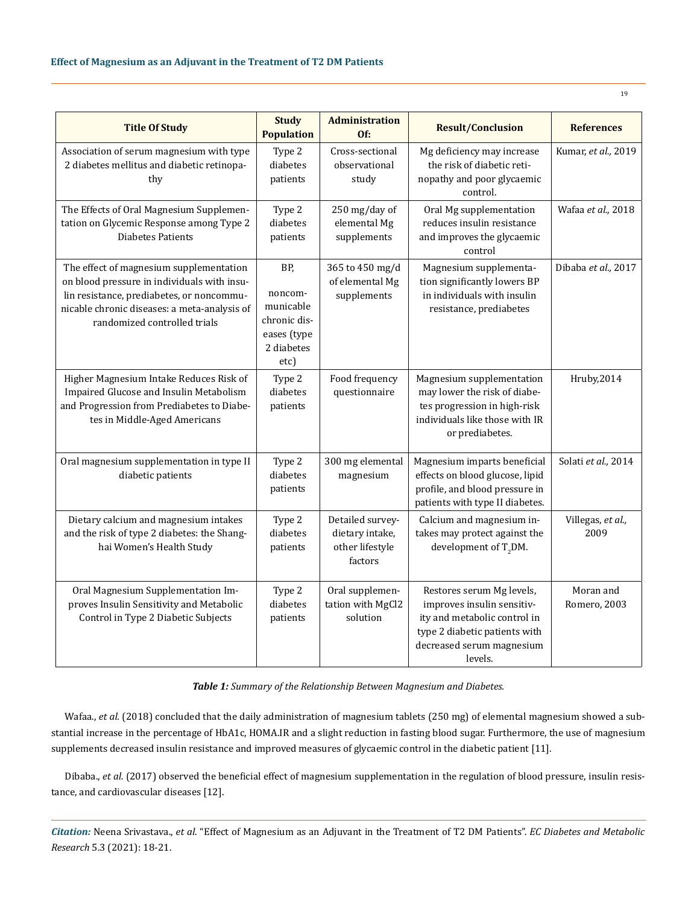| <b>Title Of Study</b>                                                                                                                                                                                               | <b>Study</b><br><b>Population</b>                                                | <b>Administration</b><br>Of:                                      | <b>Result/Conclusion</b>                                                                                                                                         | <b>References</b>         |
|---------------------------------------------------------------------------------------------------------------------------------------------------------------------------------------------------------------------|----------------------------------------------------------------------------------|-------------------------------------------------------------------|------------------------------------------------------------------------------------------------------------------------------------------------------------------|---------------------------|
| Association of serum magnesium with type<br>2 diabetes mellitus and diabetic retinopa-<br>thy                                                                                                                       | Type 2<br>diabetes<br>patients                                                   | Cross-sectional<br>observational<br>study                         | Mg deficiency may increase<br>the risk of diabetic reti-<br>nopathy and poor glycaemic<br>control.                                                               | Kumar, et al., 2019       |
| The Effects of Oral Magnesium Supplemen-<br>tation on Glycemic Response among Type 2<br><b>Diabetes Patients</b>                                                                                                    | Type 2<br>diabetes<br>patients                                                   | 250 mg/day of<br>elemental Mg<br>supplements                      | Oral Mg supplementation<br>reduces insulin resistance<br>and improves the glycaemic<br>control                                                                   | Wafaa et al., 2018        |
| The effect of magnesium supplementation<br>on blood pressure in individuals with insu-<br>lin resistance, prediabetes, or noncommu-<br>nicable chronic diseases: a meta-analysis of<br>randomized controlled trials | BP,<br>noncom-<br>municable<br>chronic dis-<br>eases (type<br>2 diabetes<br>etc) | 365 to 450 mg/d<br>of elemental Mg<br>supplements                 | Magnesium supplementa-<br>tion significantly lowers BP<br>in individuals with insulin<br>resistance, prediabetes                                                 | Dibaba et al., 2017       |
| Higher Magnesium Intake Reduces Risk of<br>Impaired Glucose and Insulin Metabolism<br>and Progression from Prediabetes to Diabe-<br>tes in Middle-Aged Americans                                                    | Type 2<br>diabetes<br>patients                                                   | Food frequency<br>questionnaire                                   | Magnesium supplementation<br>may lower the risk of diabe-<br>tes progression in high-risk<br>individuals like those with IR<br>or prediabetes.                   | Hruby,2014                |
| Oral magnesium supplementation in type II<br>diabetic patients                                                                                                                                                      | Type 2<br>diabetes<br>patients                                                   | 300 mg elemental<br>magnesium                                     | Magnesium imparts beneficial<br>effects on blood glucose, lipid<br>profile, and blood pressure in<br>patients with type II diabetes.                             | Solati et al., 2014       |
| Dietary calcium and magnesium intakes<br>and the risk of type 2 diabetes: the Shang-<br>hai Women's Health Study                                                                                                    | Type 2<br>diabetes<br>patients                                                   | Detailed survey-<br>dietary intake,<br>other lifestyle<br>factors | Calcium and magnesium in-<br>takes may protect against the<br>development of $T_2DM$ .                                                                           | Villegas, et al.,<br>2009 |
| Oral Magnesium Supplementation Im-<br>proves Insulin Sensitivity and Metabolic<br>Control in Type 2 Diabetic Subjects                                                                                               | Type 2<br>diabetes<br>patients                                                   | Oral supplemen-<br>tation with MgCl2<br>solution                  | Restores serum Mg levels,<br>improves insulin sensitiv-<br>ity and metabolic control in<br>type 2 diabetic patients with<br>decreased serum magnesium<br>levels. | Moran and<br>Romero, 2003 |

*Table 1: Summary of the Relationship Between Magnesium and Diabetes.*

Wafaa., *et al.* (2018) concluded that the daily administration of magnesium tablets (250 mg) of elemental magnesium showed a substantial increase in the percentage of HbA1c, HOMA.IR and a slight reduction in fasting blood sugar. Furthermore, the use of magnesium supplements decreased insulin resistance and improved measures of glycaemic control in the diabetic patient [11].

Dibaba., *et al.* (2017) observed the beneficial effect of magnesium supplementation in the regulation of blood pressure, insulin resistance, and cardiovascular diseases [12].

*Citation:* Neena Srivastava., *et al*. "Effect of Magnesium as an Adjuvant in the Treatment of T2 DM Patients". *EC Diabetes and Metabolic Research* 5.3 (2021): 18-21.

19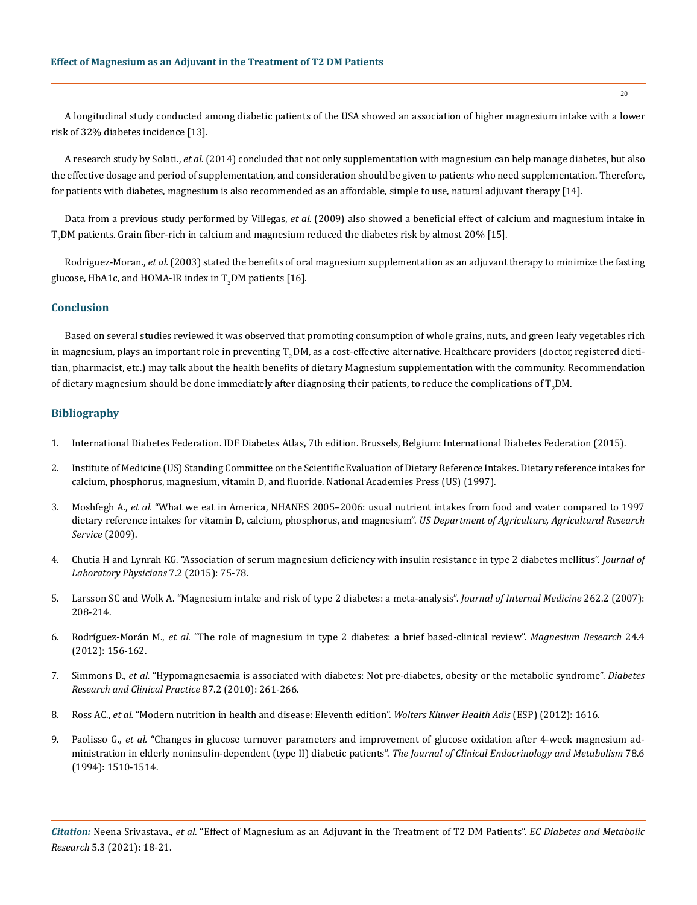A longitudinal study conducted among diabetic patients of the USA showed an association of higher magnesium intake with a lower risk of 32% diabetes incidence [13].

A research study by Solati., *et al.* (2014) concluded that not only supplementation with magnesium can help manage diabetes, but also the effective dosage and period of supplementation, and consideration should be given to patients who need supplementation. Therefore, for patients with diabetes, magnesium is also recommended as an affordable, simple to use, natural adjuvant therapy [14].

Data from a previous study performed by Villegas, *et al.* (2009) also showed a beneficial effect of calcium and magnesium intake in  $T_{2}$ DM patients. Grain fiber-rich in calcium and magnesium reduced the diabetes risk by almost 20% [15].

Rodriguez-Moran., *et al.* (2003) stated the benefits of oral magnesium supplementation as an adjuvant therapy to minimize the fasting glucose, HbA1c, and HOMA-IR index in  $\mathrm{T}_2$ DM patients [16].

### **Conclusion**

Based on several studies reviewed it was observed that promoting consumption of whole grains, nuts, and green leafy vegetables rich in magnesium, plays an important role in preventing T<sub>2</sub>DM, as a cost-effective alternative. Healthcare providers (doctor, registered dietitian, pharmacist, etc.) may talk about the health benefits of dietary Magnesium supplementation with the community. Recommendation of dietary magnesium should be done immediately after diagnosing their patients, to reduce the complications of  $\rm T_2DM.$ 

## **Bibliography**

- 1. International Diabetes Federation. IDF Diabetes Atlas, 7th edition. Brussels, Belgium: International Diabetes Federation (2015).
- 2. Institute of Medicine (US) Standing Committee on the Scientific Evaluation of Dietary Reference Intakes. Dietary reference intakes for calcium, phosphorus, magnesium, vitamin D, and fluoride. National Academies Press (US) (1997).
- 3. Moshfegh A., *et al.* ["What we eat in America, NHANES 2005–2006: usual nutrient intakes from food and water compared to 1997](https://www.ars.usda.gov/ARSUserFiles/80400530/pdf/0506/usual_nutrient_intake_vitD_ca_phos_mg_2005-06.pdf) [dietary reference intakes for vitamin D, calcium, phosphorus, and magnesium".](https://www.ars.usda.gov/ARSUserFiles/80400530/pdf/0506/usual_nutrient_intake_vitD_ca_phos_mg_2005-06.pdf) *US Department of Agriculture, Agricultural Research [Service](https://www.ars.usda.gov/ARSUserFiles/80400530/pdf/0506/usual_nutrient_intake_vitD_ca_phos_mg_2005-06.pdf)* (2009).
- 4. [Chutia H and Lynrah KG. "Association of serum magnesium deficiency with insulin resistance in type 2 diabetes mellitus".](https://pubmed.ncbi.nlm.nih.gov/26417155/) *Journal of [Laboratory Physicians](https://pubmed.ncbi.nlm.nih.gov/26417155/)* 7.2 (2015): 75-78.
- 5. [Larsson SC and Wolk A. "Magnesium intake and risk of type 2 diabetes: a meta-analysis".](https://pubmed.ncbi.nlm.nih.gov/17645588/) *Journal of Internal Medicine* 262.2 (2007): [208-214.](https://pubmed.ncbi.nlm.nih.gov/17645588/)
- 6. Rodríguez-Morán M., *et al.* ["The role of magnesium in type 2 diabetes: a brief based-clinical review".](https://www.researchgate.net/publication/51924238_The_role_of_magnesium_in_type_2_diabetes_A_brief_based-clinical_review) *Magnesium Research* 24.4 [\(2012\): 156-162.](https://www.researchgate.net/publication/51924238_The_role_of_magnesium_in_type_2_diabetes_A_brief_based-clinical_review)
- 7. Simmons D., *et al.* ["Hypomagnesaemia is associated with diabetes: Not pre-diabetes, obesity or the metabolic syndrome".](https://professional.diabetes.org/abstract/hypomagnesaemia-associated-diabetes-and-normal-weight-not-pre-diabetes-obesity-or-metabolic) *Diabetes [Research and Clinical Practice](https://professional.diabetes.org/abstract/hypomagnesaemia-associated-diabetes-and-normal-weight-not-pre-diabetes-obesity-or-metabolic)* 87.2 (2010): 261-266.
- 8. Ross AC., *et al.* ["Modern nutrition in health and disease: Eleventh edition".](https://jhu.pure.elsevier.com/en/publications/modern-nutrition-in-health-and-disease-eleventh-edition) *Wolters Kluwer Health Adis* (ESP) (2012): 1616.
- 9. Paolisso G., *et al.* ["Changes in glucose turnover parameters and improvement of glucose oxidation after 4-week magnesium ad](https://pubmed.ncbi.nlm.nih.gov/8200955/)[ministration in elderly noninsulin-dependent \(type II\) diabetic patients".](https://pubmed.ncbi.nlm.nih.gov/8200955/) *The Journal of Clinical Endocrinology and Metabolism* 78.6 [\(1994\): 1510-1514.](https://pubmed.ncbi.nlm.nih.gov/8200955/)

*Citation:* Neena Srivastava., *et al*. "Effect of Magnesium as an Adjuvant in the Treatment of T2 DM Patients". *EC Diabetes and Metabolic Research* 5.3 (2021): 18-21.

20